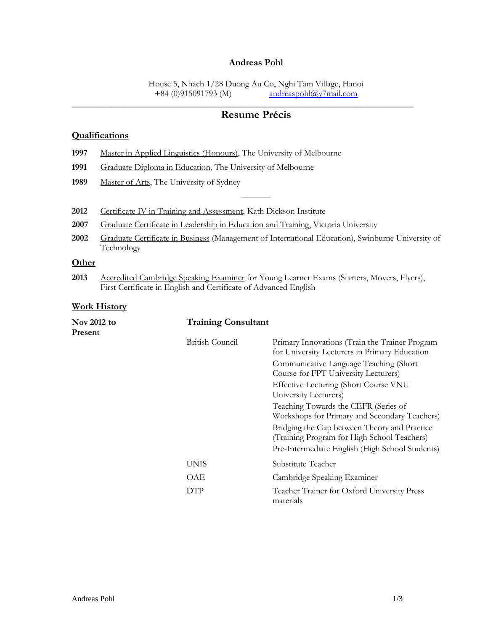### **Andreas Pohl**

House 5, Nhach 1/28 Duong Au Co, Nghi Tam Village, Hanoi<br>+84 (0)915091793 (M) andreaspohl@y7mail.com  $and reasonably?mail.com$ 

# **Resume Précis**

\_\_\_\_\_\_\_\_\_\_\_\_\_\_\_\_\_\_\_\_\_\_\_\_\_\_\_\_\_\_\_\_\_\_\_\_\_\_\_\_\_\_\_\_\_\_\_\_\_\_\_\_\_\_\_\_\_\_\_\_\_\_\_\_\_\_\_\_\_\_\_\_\_\_\_\_\_\_

### **Qualifications**

- **1997** Master in Applied Linguistics (Honours), The University of Melbourne
- **1991** Graduate Diploma in Education, The University of Melbourne
- 1989 Master of Arts, The University of Sydney
- 2012 Certificate IV in Training and Assessment, Kath Dickson Institute
- 2007 Graduate Certificate in Leadership in Education and Training, Victoria University
- **2002** Graduate Certificate in Business (Management of International Education), Swinburne University of Technology

**\_\_\_\_\_\_\_\_\_**

# **Other**

2013 Accredited Cambridge Speaking Examiner for Young Learner Exams (Starters, Movers, Flyers), First Certificate in English and Certificate of Advanced English

#### **Work History**

| Nov 2012 to<br>Present | <b>Training Consultant</b> |                                                                                                 |
|------------------------|----------------------------|-------------------------------------------------------------------------------------------------|
|                        | British Council            | Primary Innovations (Train the Trainer Program<br>for University Lecturers in Primary Education |
|                        |                            | Communicative Language Teaching (Short<br>Course for FPT University Lecturers)                  |
|                        |                            | <b>Effective Lecturing (Short Course VNU</b><br>University Lecturers)                           |
|                        |                            | Teaching Towards the CEFR (Series of<br>Workshops for Primary and Secondary Teachers)           |
|                        |                            | Bridging the Gap between Theory and Practice<br>(Training Program for High School Teachers)     |
|                        |                            | Pre-Intermediate English (High School Students)                                                 |
|                        | <b>UNIS</b>                | Substitute Teacher                                                                              |
|                        | OAE                        | Cambridge Speaking Examiner                                                                     |
|                        | DTP                        | Teacher Trainer for Oxford University Press<br>materials                                        |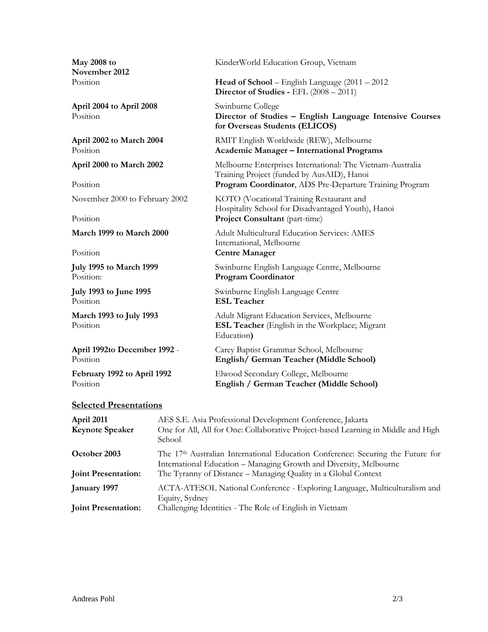**November 2012**

**April 2004 to April 2008** Swinburne College

Position **ESL Teacher**

### **Selected Presentations**

| April 2011                 | AES S.E. Asia Professional Development Conference, Jakarta                                                                                              |
|----------------------------|---------------------------------------------------------------------------------------------------------------------------------------------------------|
| <b>Keynote Speaker</b>     | One for All, All for One: Collaborative Project-based Learning in Middle and High<br>School                                                             |
| October 2003               | The $17th$ Australian International Education Conference: Securing the Future for<br>International Education - Managing Growth and Diversity, Melbourne |
| <b>Joint Presentation:</b> | The Tyranny of Distance - Managing Quality in a Global Context                                                                                          |
| <b>January 1997</b>        | ACTA-ATESOL National Conference - Exploring Language, Multiculturalism and<br>Equity, Sydney                                                            |
| <b>Joint Presentation:</b> | Challenging Identities - The Role of English in Vietnam                                                                                                 |

**May 2008 to** KinderWorld Education Group, Vietnam

Position **Head of School** – English Language (2011 – 2012 **Director of Studies -** EFL (2008 – 2011)

Position **Director of Studies – English Language Intensive Courses for Overseas Students (ELICOS)**

**April 2002 to March 2004** RMIT English Worldwide (REW), Melbourne Position **Academic Manager – International Programs**

**April 2000 to March 2002** Melbourne Enterprises International: The Vietnam-Australia Training Project (funded by AusAID), Hanoi Position **Program Coordinator**, ADS Pre-Departure Training Program

November 2000 to February 2002 KOTO (Vocational Training Restaurant and Hospitality School for Disadvantaged Youth), Hanoi Project Consultant (part-time)

**March 1999 to March 2000** Adult Multicultural Education Services: AMES International, Melbourne Position **Centre Manager** 

**July 1995 to March 1999** Swinburne English Language Centre, Melbourne Position: Program Coordinator Program Coordinator

**July 1993 to June 1995** Swinburne English Language Centre

**March 1993 to July 1993** Adult Migrant Education Services, Melbourne Position **ESL Teacher** (English in the Workplace; Migrant Education**)**

**April 1992to December 1992** - Carey Baptist Grammar School, Melbourne Position **English/ German Teacher (Middle School)**

**February 1992 to April 1992** Elwood Secondary College, Melbourne Position **English / German Teacher (Middle School)**